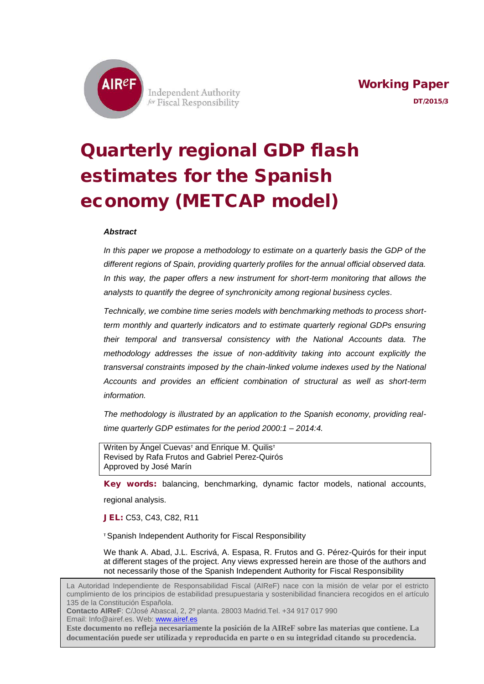

**Independent Authority** for Fiscal Responsibility

# Quarterly regional GDP flash estimates for the Spanish economy (METCAP model)

#### *Abstract*

*In this paper we propose a methodology to estimate on a quarterly basis the GDP of the different regions of Spain, providing quarterly profiles for the annual official observed data. In this way, the paper offers a new instrument for short-term monitoring that allows the analysts to quantify the degree of synchronicity among regional business cycles.*

*Technically, we combine time series models with benchmarking methods to process shortterm monthly and quarterly indicators and to estimate quarterly regional GDPs ensuring their temporal and transversal consistency with the National Accounts data. The methodology addresses the issue of non-additivity taking into account explicitly the transversal constraints imposed by the chain-linked volume indexes used by the National Accounts and provides an efficient combination of structural as well as short-term information.*

*The methodology is illustrated by an application to the Spanish economy, providing realtime quarterly GDP estimates for the period 2000:1 – 2014:4.*

Writen by Ángel Cuevas<sup>T</sup> and Enrique M. Quilis<sup>T</sup> Revised by Rafa Frutos and Gabriel Perez-Quirós Approved by José Marín

Key words: balancing, benchmarking, dynamic factor models, national accounts,

regional analysis.

l

JEL: C53, C43, C82, R11

<sup>τ</sup> Spanish Independent Authority for Fiscal Responsibility

We thank A. Abad, J.L. Escrivá, A. Espasa, R. Frutos and G. Pérez-Quirós for their input at different stages of the project. Any views expressed herein are those of the authors and not necessarily those of the Spanish Independent Authority for Fiscal Responsibility

La Autoridad Independiente de Responsabilidad Fiscal (AIReF) nace con la misión de velar por el estricto cumplimiento de los principios de estabilidad presupuestaria y sostenibilidad financiera recogidos en el artículo 135 de la Constitución Española.

**Contacto AIReF**: C/José Abascal, 2, 2º planta. 28003 Madrid.Tel. +34 917 017 990 Email: Info@airef.es. Web[: www.airef.es](http://www.airef.es/)

**Este documento no refleja necesariamente la posición de la AIReF sobre las materias que contiene. La documentación puede ser utilizada y reproducida en parte o en su integridad citando su procedencia.**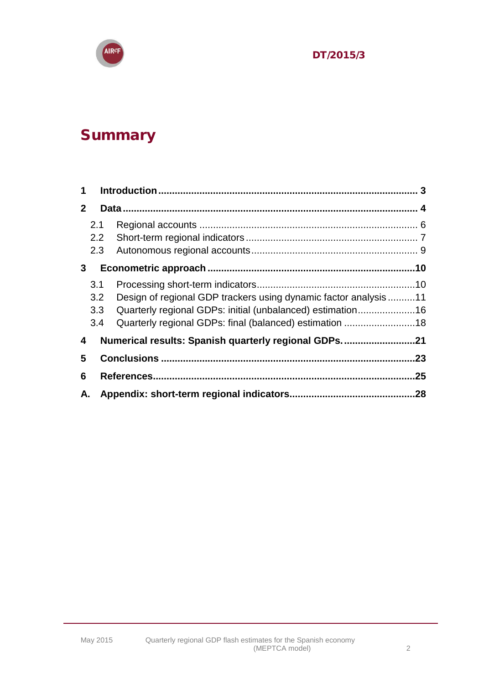

## Summary

| 2 <sup>1</sup> |     |                                                                 |     |
|----------------|-----|-----------------------------------------------------------------|-----|
|                | 2.1 |                                                                 |     |
|                | 2.2 |                                                                 |     |
|                | 2.3 |                                                                 |     |
| 3 <sup>1</sup> |     |                                                                 |     |
|                | 3.1 |                                                                 |     |
|                | 3.2 | Design of regional GDP trackers using dynamic factor analysis11 |     |
|                | 3.3 | Quarterly regional GDPs: initial (unbalanced) estimation16      |     |
|                | 3.4 | Quarterly regional GDPs: final (balanced) estimation 18         |     |
| 4              |     | Numerical results: Spanish quarterly regional GDPs21            |     |
| 5              |     |                                                                 | .23 |
| 6              |     |                                                                 | .25 |
| А.             |     |                                                                 |     |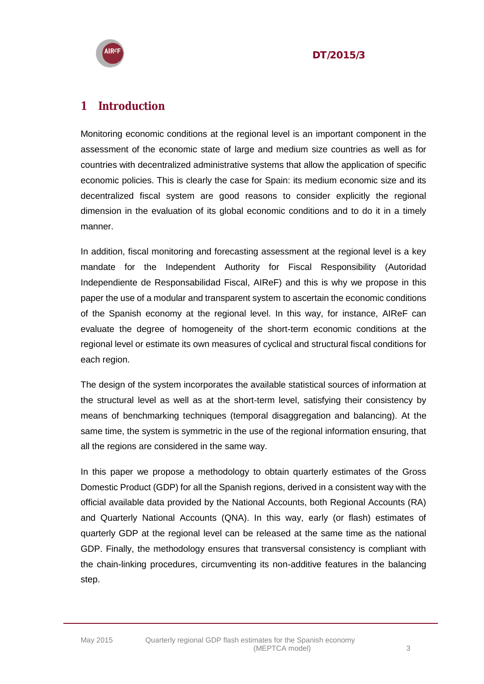



## <span id="page-2-0"></span>**1 Introduction**

Monitoring economic conditions at the regional level is an important component in the assessment of the economic state of large and medium size countries as well as for countries with decentralized administrative systems that allow the application of specific economic policies. This is clearly the case for Spain: its medium economic size and its decentralized fiscal system are good reasons to consider explicitly the regional dimension in the evaluation of its global economic conditions and to do it in a timely manner.

In addition, fiscal monitoring and forecasting assessment at the regional level is a key mandate for the Independent Authority for Fiscal Responsibility (Autoridad Independiente de Responsabilidad Fiscal, AIReF) and this is why we propose in this paper the use of a modular and transparent system to ascertain the economic conditions of the Spanish economy at the regional level. In this way, for instance, AIReF can evaluate the degree of homogeneity of the short-term economic conditions at the regional level or estimate its own measures of cyclical and structural fiscal conditions for each region.

The design of the system incorporates the available statistical sources of information at the structural level as well as at the short-term level, satisfying their consistency by means of benchmarking techniques (temporal disaggregation and balancing). At the same time, the system is symmetric in the use of the regional information ensuring, that all the regions are considered in the same way.

In this paper we propose a methodology to obtain quarterly estimates of the Gross Domestic Product (GDP) for all the Spanish regions, derived in a consistent way with the official available data provided by the National Accounts, both Regional Accounts (RA) and Quarterly National Accounts (QNA). In this way, early (or flash) estimates of quarterly GDP at the regional level can be released at the same time as the national GDP. Finally, the methodology ensures that transversal consistency is compliant with the chain-linking procedures, circumventing its non-additive features in the balancing step.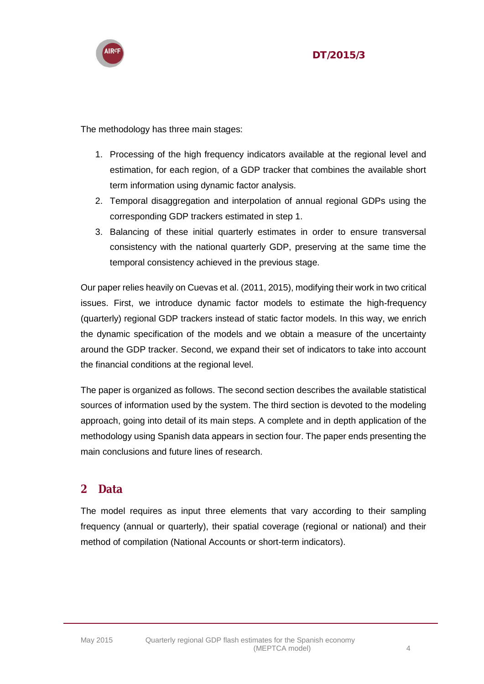

The methodology has three main stages:

- 1. Processing of the high frequency indicators available at the regional level and estimation, for each region, of a GDP tracker that combines the available short term information using dynamic factor analysis.
- 2. Temporal disaggregation and interpolation of annual regional GDPs using the corresponding GDP trackers estimated in step 1.
- 3. Balancing of these initial quarterly estimates in order to ensure transversal consistency with the national quarterly GDP, preserving at the same time the temporal consistency achieved in the previous stage.

Our paper relies heavily on Cuevas et al. (2011, 2015), modifying their work in two critical issues. First, we introduce dynamic factor models to estimate the high-frequency (quarterly) regional GDP trackers instead of static factor models. In this way, we enrich the dynamic specification of the models and we obtain a measure of the uncertainty around the GDP tracker. Second, we expand their set of indicators to take into account the financial conditions at the regional level.

The paper is organized as follows. The second section describes the available statistical sources of information used by the system. The third section is devoted to the modeling approach, going into detail of its main steps. A complete and in depth application of the methodology using Spanish data appears in section four. The paper ends presenting the main conclusions and future lines of research.

## <span id="page-3-0"></span>**2 Data**

The model requires as input three elements that vary according to their sampling frequency (annual or quarterly), their spatial coverage (regional or national) and their method of compilation (National Accounts or short-term indicators).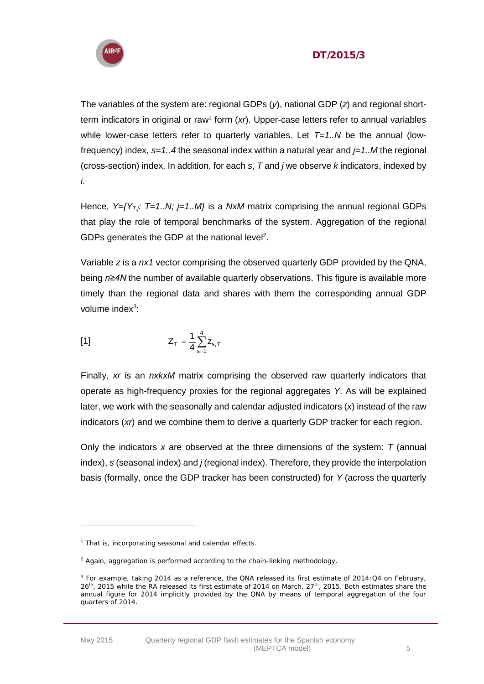

The variables of the system are: regional GDPs (*y*), national GDP (*z*) and regional shortterm indicators in original or raw<sup>1</sup> form (xr). Upper-case letters refer to annual variables while lower-case letters refer to quarterly variables. Let *T=1..N* be the annual (lowfrequency) index, *s=1..4* the seasonal index within a natural year and *j=1..M* the regional (cross-section) index. In addition, for each *s*, *T* and *j* we observe *k* indicators, indexed by *i*.

Hence, *Y*={*Y*<sub>*T,j</sub>: T*=1.*N; j*=1.*M*} is a *NxM* matrix comprising the annual regional GDPs</sub> that play the role of temporal benchmarks of the system. Aggregation of the regional GDPs generates the GDP at the national level<sup>2</sup>.

Variable *z* is a *nx1* vector comprising the observed quarterly GDP provided by the QNA, being *n≥4N* the number of available quarterly observations. This figure is available more timely than the regional data and shares with them the corresponding annual GDP volume index<sup>3</sup>:

[1] 
$$
Z_{T} = \frac{1}{4} \sum_{s=1}^{4} Z_{s,T}
$$

Finally, *xr* is an *nxkxM* matrix comprising the observed raw quarterly indicators that operate as high-frequency proxies for the regional aggregates *Y*. As will be explained later, we work with the seasonally and calendar adjusted indicators (*x*) instead of the raw indicators (*xr*) and we combine them to derive a quarterly GDP tracker for each region.

Only the indicators *x* are observed at the three dimensions of the system: *T* (annual index), *s* (seasonal index) and *j* (regional index). Therefore, they provide the interpolation basis (formally, once the GDP tracker has been constructed) for *Y* (across the quarterly

 $\overline{a}$ 

<sup>&</sup>lt;sup>1</sup> That is, incorporating seasonal and calendar effects.

 $2$  Again, aggregation is performed according to the chain-linking methodology.

<sup>&</sup>lt;sup>3</sup> For example, taking 2014 as a reference, the QNA released its first estimate of 2014:Q4 on February, 26<sup>th</sup>, 2015 while the RA released its first estimate of 2014 on March, 27<sup>th</sup>, 2015. Both estimates share the annual figure for 2014 implicitly provided by the QNA by means of temporal aggregation of the four quarters of 2014.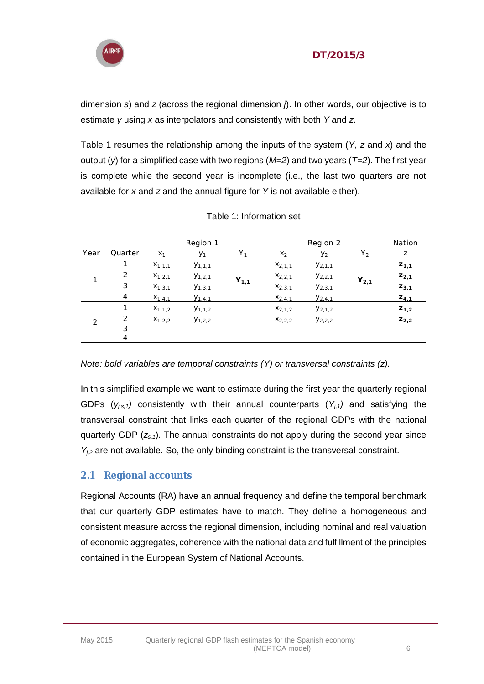

dimension *s*) and *z* (across the regional dimension *j*). In other words, our objective is to estimate *y* using *x* as interpolators and consistently with both *Y* and *z*.

Table 1 resumes the relationship among the inputs of the system (*Y*, *z* and *x*) and the output (*y*) for a simplified case with two regions (*M=2*) and two years (*T=2*). The first year is complete while the second year is incomplete (i.e., the last two quarters are not available for *x* and *z* and the annual figure for *Y* is not available either).

|               |         |             | Region 1       |                |             | Region 2    |           | Nation    |
|---------------|---------|-------------|----------------|----------------|-------------|-------------|-----------|-----------|
| Year          | Quarter | $X_1$       | V <sub>1</sub> | Y <sub>1</sub> | $X_2$       | $y_2$       | $Y_2$     | Ζ         |
|               |         | $X_{1,1,1}$ | $Y_{1,1,1}$    |                | $X_{2,1,1}$ | $Y_{2,1,1}$ |           | $Z_{1,1}$ |
|               | 2       | $X_{1,2,1}$ | $y_{1,2,1}$    | $Y_{1,1}$      | $X_{2,2,1}$ | $y_{2,2,1}$ | $Y_{2,1}$ | $Z_{2,1}$ |
|               | 3       | $X_{1,3,1}$ | $Y_{1,3,1}$    |                | $X_{2,3,1}$ | $y_{2,3,1}$ |           | $Z_{3,1}$ |
|               | 4       | $X_{1,4,1}$ | $Y_{1,4,1}$    |                | $X_{2,4,1}$ | $Y_{2,4,1}$ |           | $Z_{4,1}$ |
|               |         | $X_{1,1,2}$ | $Y_{1,1,2}$    |                | $X_{2,1,2}$ | $Y_{2,1,2}$ |           | $Z_{1,2}$ |
| $\mathcal{D}$ | 2       | $X_{1,2,2}$ | $Y_{1,2,2}$    |                | $X_{2,2,2}$ | $y_{2,2,2}$ |           | $Z_{2,2}$ |
|               | 3       |             |                |                |             |             |           |           |
|               | 4       |             |                |                |             |             |           |           |

|  |  |  | Table 1: Information set |  |
|--|--|--|--------------------------|--|
|--|--|--|--------------------------|--|

*Note: bold variables are temporal constraints (Y) or transversal constraints (z).*

In this simplified example we want to estimate during the first year the quarterly regional GDPs  $(y_{i,s,1})$  consistently with their annual counterparts  $(Y_{i,1})$  and satisfying the transversal constraint that links each quarter of the regional GDPs with the national quarterly GDP (*zs,1*). The annual constraints do not apply during the second year since *Yj,2* are not available. So, the only binding constraint is the transversal constraint.

## <span id="page-5-0"></span>**2.1 Regional accounts**

Regional Accounts (RA) have an annual frequency and define the temporal benchmark that our quarterly GDP estimates have to match. They define a homogeneous and consistent measure across the regional dimension, including nominal and real valuation of economic aggregates, coherence with the national data and fulfillment of the principles contained in the European System of National Accounts.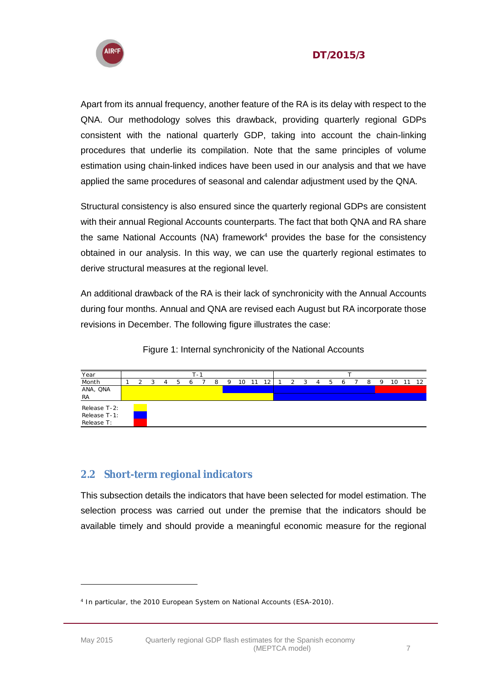



Apart from its annual frequency, another feature of the RA is its delay with respect to the QNA. Our methodology solves this drawback, providing quarterly regional GDPs consistent with the national quarterly GDP, taking into account the chain-linking procedures that underlie its compilation. Note that the same principles of volume estimation using chain-linked indices have been used in our analysis and that we have applied the same procedures of seasonal and calendar adjustment used by the QNA.

Structural consistency is also ensured since the quarterly regional GDPs are consistent with their annual Regional Accounts counterparts. The fact that both QNA and RA share the same National Accounts (NA) framework $4$  provides the base for the consistency obtained in our analysis. In this way, we can use the quarterly regional estimates to derive structural measures at the regional level.

An additional drawback of the RA is their lack of synchronicity with the Annual Accounts during four months. Annual and QNA are revised each August but RA incorporate those revisions in December. The following figure illustrates the case:



|               |  |  |   | $\sim$ |   |    |  |  |  |                |  |   |   |    |  |
|---------------|--|--|---|--------|---|----|--|--|--|----------------|--|---|---|----|--|
| Year<br>Month |  |  | h |        | Q | 10 |  |  |  | $\overline{a}$ |  | 8 | O | 10 |  |
| ANA, ONA      |  |  |   |        |   |    |  |  |  |                |  |   |   |    |  |
| RA            |  |  |   |        |   |    |  |  |  |                |  |   |   |    |  |
| Release T-2:  |  |  |   |        |   |    |  |  |  |                |  |   |   |    |  |
| Release T-1:  |  |  |   |        |   |    |  |  |  |                |  |   |   |    |  |
| Release T:    |  |  |   |        |   |    |  |  |  |                |  |   |   |    |  |

#### <span id="page-6-0"></span>**2.2 Short-term regional indicators**

This subsection details the indicators that have been selected for model estimation. The selection process was carried out under the premise that the indicators should be available timely and should provide a meaningful economic measure for the regional

<sup>4</sup> In particular, the 2010 European System on National Accounts (ESA-2010).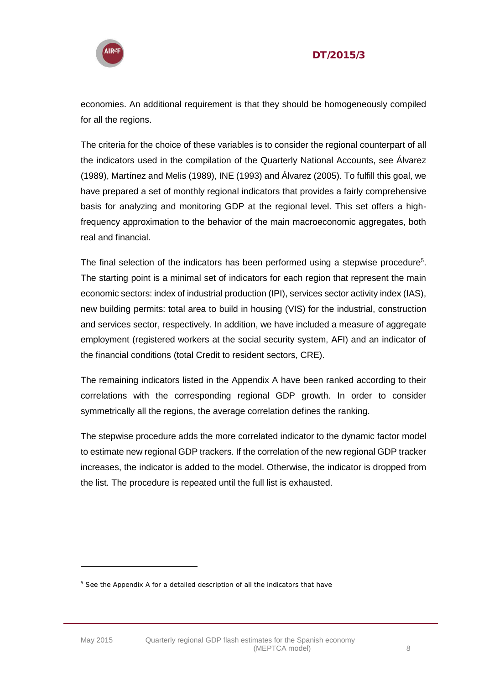

economies. An additional requirement is that they should be homogeneously compiled for all the regions.

The criteria for the choice of these variables is to consider the regional counterpart of all the indicators used in the compilation of the Quarterly National Accounts, see Álvarez (1989), Martínez and Melis (1989), INE (1993) and Álvarez (2005). To fulfill this goal, we have prepared a set of monthly regional indicators that provides a fairly comprehensive basis for analyzing and monitoring GDP at the regional level. This set offers a highfrequency approximation to the behavior of the main macroeconomic aggregates, both real and financial.

The final selection of the indicators has been performed using a stepwise procedure<sup>5</sup>. The starting point is a minimal set of indicators for each region that represent the main economic sectors: index of industrial production (IPI), services sector activity index (IAS), new building permits: total area to build in housing (VIS) for the industrial, construction and services sector, respectively. In addition, we have included a measure of aggregate employment (registered workers at the social security system, AFI) and an indicator of the financial conditions (total Credit to resident sectors, CRE).

The remaining indicators listed in the Appendix A have been ranked according to their correlations with the corresponding regional GDP growth. In order to consider symmetrically all the regions, the average correlation defines the ranking.

The stepwise procedure adds the more correlated indicator to the dynamic factor model to estimate new regional GDP trackers. If the correlation of the new regional GDP tracker increases, the indicator is added to the model. Otherwise, the indicator is dropped from the list. The procedure is repeated until the full list is exhausted.

<sup>&</sup>lt;sup>5</sup> See the Appendix A for a detailed description of all the indicators that have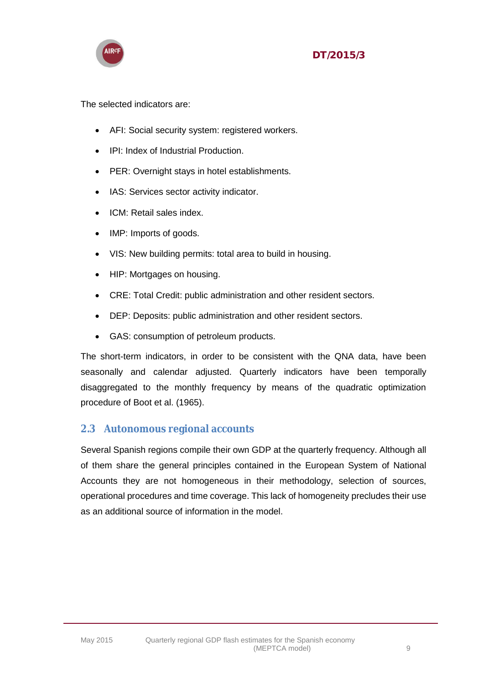

The selected indicators are:

- AFI: Social security system: registered workers.
- IPI: Index of Industrial Production.
- PER: Overnight stays in hotel establishments.
- IAS: Services sector activity indicator.
- ICM: Retail sales index.
- IMP: Imports of goods.
- VIS: New building permits: total area to build in housing.
- HIP: Mortgages on housing.
- CRE: Total Credit: public administration and other resident sectors.
- DEP: Deposits: public administration and other resident sectors.
- GAS: consumption of petroleum products.

The short-term indicators, in order to be consistent with the QNA data, have been seasonally and calendar adjusted. Quarterly indicators have been temporally disaggregated to the monthly frequency by means of the quadratic optimization procedure of Boot et al. (1965).

#### <span id="page-8-0"></span>**2.3 Autonomous regional accounts**

Several Spanish regions compile their own GDP at the quarterly frequency. Although all of them share the general principles contained in the European System of National Accounts they are not homogeneous in their methodology, selection of sources, operational procedures and time coverage. This lack of homogeneity precludes their use as an additional source of information in the model.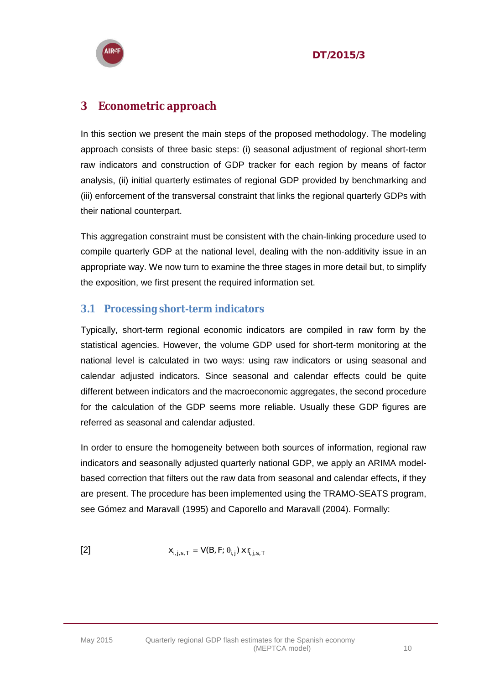

## <span id="page-9-0"></span>**3 Econometric approach**

In this section we present the main steps of the proposed methodology. The modeling approach consists of three basic steps: (i) seasonal adjustment of regional short-term raw indicators and construction of GDP tracker for each region by means of factor analysis, (ii) initial quarterly estimates of regional GDP provided by benchmarking and (iii) enforcement of the transversal constraint that links the regional quarterly GDPs with their national counterpart.

This aggregation constraint must be consistent with the chain-linking procedure used to compile quarterly GDP at the national level, dealing with the non-additivity issue in an appropriate way. We now turn to examine the three stages in more detail but, to simplify the exposition, we first present the required information set.

## <span id="page-9-1"></span>**3.1 Processing short-term indicators**

Typically, short-term regional economic indicators are compiled in raw form by the statistical agencies. However, the volume GDP used for short-term monitoring at the national level is calculated in two ways: using raw indicators or using seasonal and calendar adjusted indicators. Since seasonal and calendar effects could be quite different between indicators and the macroeconomic aggregates, the second procedure for the calculation of the GDP seems more reliable. Usually these GDP figures are referred as seasonal and calendar adjusted.

In order to ensure the homogeneity between both sources of information, regional raw indicators and seasonally adjusted quarterly national GDP, we apply an ARIMA modelbased correction that filters out the raw data from seasonal and calendar effects, if they are present. The procedure has been implemented using the TRAMO-SEATS program, see Gómez and Maravall (1995) and Caporello and Maravall (2004). Formally:

$$
\textbf{[2]}\qquad \qquad \mathsf{X}_{i,j,s,T} = \mathsf{V}(\mathsf{B},\mathsf{F};\,\pmb{\theta}_{i,j})\,\mathsf{X}\,\mathsf{f}_{i,j,s,T}
$$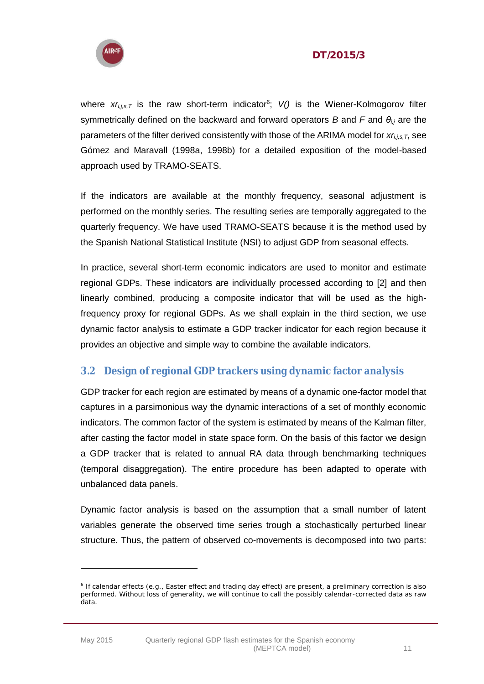

#### DT/2015/3

where  $xr_{i,j,s,T}$  is the raw short-term indicator<sup>6</sup>; V() is the Wiener-Kolmogorov filter symmetrically defined on the backward and forward operators *B* and *F* and *θi,j* are the parameters of the filter derived consistently with those of the ARIMA model for *xr<sub>i,i,s, T</sub>*, see Gómez and Maravall (1998a, 1998b) for a detailed exposition of the model-based approach used by TRAMO-SEATS.

If the indicators are available at the monthly frequency, seasonal adjustment is performed on the monthly series. The resulting series are temporally aggregated to the quarterly frequency. We have used TRAMO-SEATS because it is the method used by the Spanish National Statistical Institute (NSI) to adjust GDP from seasonal effects.

In practice, several short-term economic indicators are used to monitor and estimate regional GDPs. These indicators are individually processed according to [2] and then linearly combined, producing a composite indicator that will be used as the highfrequency proxy for regional GDPs. As we shall explain in the third section, we use dynamic factor analysis to estimate a GDP tracker indicator for each region because it provides an objective and simple way to combine the available indicators.

#### <span id="page-10-0"></span>**3.2 Design of regional GDP trackers using dynamic factor analysis**

GDP tracker for each region are estimated by means of a dynamic one-factor model that captures in a parsimonious way the dynamic interactions of a set of monthly economic indicators. The common factor of the system is estimated by means of the Kalman filter, after casting the factor model in state space form. On the basis of this factor we design a GDP tracker that is related to annual RA data through benchmarking techniques (temporal disaggregation). The entire procedure has been adapted to operate with unbalanced data panels.

Dynamic factor analysis is based on the assumption that a small number of latent variables generate the observed time series trough a stochastically perturbed linear structure. Thus, the pattern of observed co-movements is decomposed into two parts:

<sup>6</sup> If calendar effects (e.g., Easter effect and trading day effect) are present, a preliminary correction is also performed. Without loss of generality, we will continue to call the possibly calendar-corrected data as raw data.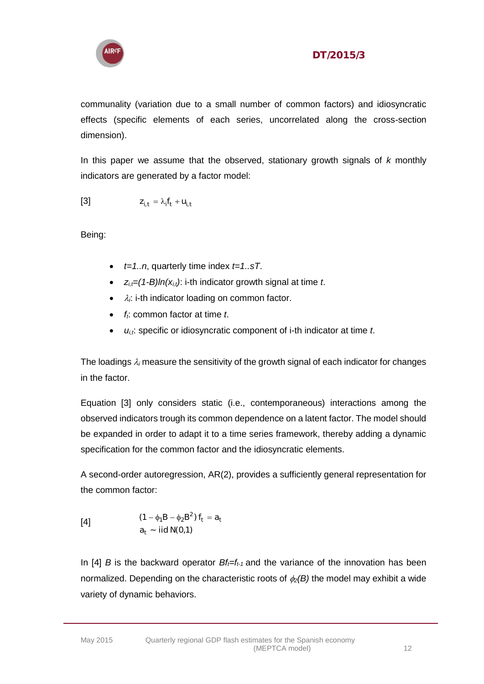

communality (variation due to a small number of common factors) and idiosyncratic effects (specific elements of each series, uncorrelated along the cross-section dimension).

In this paper we assume that the observed, stationary growth signals of *k* monthly indicators are generated by a factor model:

$$
Z_{i,t} = \lambda_i f_t + U_{i,t}
$$

Being:

- $\bullet$  *t=1..n*, quarterly time index *t=1..sT*.
- $z_{i,t} = (1-B)ln(x_{i,t})$ : i-th indicator growth signal at time *t*.
- $\cdot$   $\lambda_i$ : i-th indicator loading on common factor.
- *ft*: common factor at time *t*.
- *ui,t*: specific or idiosyncratic component of i-th indicator at time *t*.

The loadings  $\lambda_i$  measure the sensitivity of the growth signal of each indicator for changes in the factor.

Equation [3] only considers static (i.e., contemporaneous) interactions among the observed indicators trough its common dependence on a latent factor. The model should be expanded in order to adapt it to a time series framework, thereby adding a dynamic specification for the common factor and the idiosyncratic elements.

A second-order autoregression, AR(2), provides a sufficiently general representation for the common factor:

[4]  
\n
$$
(1 - \phi_1 B - \phi_2 B^2) f_t = a_t
$$
\n
$$
a_t \sim \text{iid N}(0, 1)
$$

In [4] *B* is the backward operator  $Bf_f=f_{t-1}$  and the variance of the innovation has been normalized. Depending on the characteristic roots of  $\phi_2(B)$  the model may exhibit a wide variety of dynamic behaviors.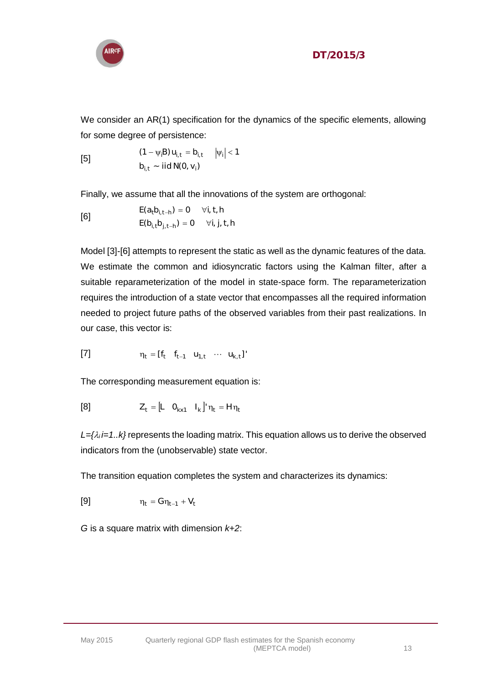

We consider an AR(1) specification for the dynamics of the specific elements, allowing for some degree of persistence:

[5]  
\n
$$
(1 - \psi_i B) u_{i,t} = b_{i,t} \quad |\psi_i| < 1
$$
\n
$$
b_{i,t} \sim \text{iid N}(0, v_i)
$$

Finally, we assume that all the innovations of the system are orthogonal:

$$
E(a_t b_{i, t-h}) = 0 \quad \forall i, t, h
$$
  

$$
E(b_{i, t} b_{j, t-h}) = 0 \quad \forall i, j, t, h
$$

Model [3]-[6] attempts to represent the static as well as the dynamic features of the data. We estimate the common and idiosyncratic factors using the Kalman filter, after a suitable reparameterization of the model in state-space form. The reparameterization requires the introduction of a state vector that encompasses all the required information needed to project future paths of the observed variables from their past realizations. In our case, this vector is:

[7] 
$$
\eta_t = [f_t \quad f_{t-1} \quad u_{1,t} \quad \cdots \quad u_{k,t}]'
$$

The corresponding measurement equation is:

$$
[8] \qquad \qquad Z_t = \begin{bmatrix} L & O_{k \times 1} & I_k \end{bmatrix} \eta_t = H \eta_t
$$

 $L = \{ \lambda_i \neq 1 \dots k \}$  represents the loading matrix. This equation allows us to derive the observed indicators from the (unobservable) state vector.

The transition equation completes the system and characterizes its dynamics:

$$
\eta_t = G\eta_{t-1} + V_t
$$

*G* is a square matrix with dimension *k+2*: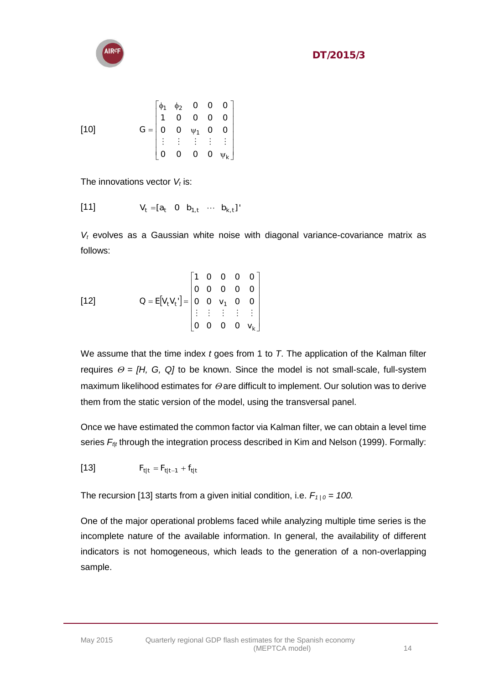

$$
\begin{bmatrix} 10 & 0 & 0 & 0 \\ 0 & 0 & 0 & 0 \\ 0 & 0 & 0 & 0 \\ 0 & 0 & 0 & 0 \\ 0 & 0 & 0 & 0 \\ 0 & 0 & 0 & 0 \\ 0 & 0 & 0 & 0 \\ 0 & 0 & 0 & 0 \\ 0 & 0 & 0 & 0 \\ 0 & 0 & 0 & 0 \\ 0 & 0 & 0 & 0 \\ 0 & 0 & 0 & 0 \\ 0 & 0 & 0 & 0 \\ 0 & 0 & 0 & 0 \\ 0 & 0 & 0 & 0 \\ 0 & 0 & 0 & 0 \\ 0 & 0 & 0 & 0 \\ 0 & 0 & 0 & 0 \\ 0 & 0 & 0 & 0 \\ 0 & 0 & 0 & 0 \\ 0 & 0 & 0 & 0 \\ 0 & 0 & 0 & 0 \\ 0 & 0 & 0 & 0 \\ 0 & 0 & 0 & 0 \\ 0 & 0 & 0 & 0 \\ 0 & 0 & 0 & 0 \\ 0 & 0 & 0 & 0 \\ 0 & 0 & 0 & 0 \\ 0 & 0 & 0 & 0 \\ 0 & 0 & 0 & 0 \\ 0 & 0 & 0 & 0 \\ 0 & 0 & 0 & 0 \\ 0 & 0 & 0 & 0 \\ 0 & 0 & 0 & 0 \\ 0 & 0 & 0 & 0 \\ 0 & 0 & 0 & 0 \\ 0 & 0 & 0 & 0 \\ 0 & 0 & 0 & 0 \\ 0 & 0 & 0 & 0 \\ 0 & 0 & 0 & 0 \\ 0 & 0 & 0 & 0 \\ 0 & 0 & 0 & 0 \\ 0 & 0 & 0 & 0 \\ 0 & 0 & 0 & 0 \\ 0 & 0 & 0 & 0 \\ 0 & 0 & 0 & 0 \\ 0 & 0 & 0 & 0 \\ 0 & 0 & 0 & 0 \\ 0 & 0 & 0 & 0 \\ 0 & 0 & 0 & 0 \\ 0 & 0 & 0 & 0 \\ 0 & 0 & 0 & 0 \\ 0 & 0 & 0 & 0 \\ 0 & 0 & 0 & 0 \\ 0 & 0 & 0 & 0 \\ 0 & 0 & 0 & 0 \\ 0 & 0 & 0 & 0 \\ 0 & 0 & 0 & 0 \\ 0 & 0 & 0 & 0 \\ 0 & 0 & 0 & 0 \\ 0 & 0 & 0 & 0 \\ 0 & 0 & 0 & 0 \\ 0 & 0 & 0 &
$$

The innovations vector *V<sup>t</sup>* is:

[11] 
$$
V_t = [a_t \ 0 \ b_{1,t} \ \cdots \ b_{k,t}]
$$

*V<sup>t</sup>* evolves as a Gaussian white noise with diagonal variance-covariance matrix as follows:

$$
\begin{bmatrix} 12 \end{bmatrix} \qquad \qquad Q = E[V_{t}V_{t}] = \begin{bmatrix} 1 & 0 & 0 & 0 & 0 \\ 0 & 0 & 0 & 0 & 0 \\ 0 & 0 & v_{1} & 0 & 0 \\ \vdots & \vdots & \vdots & \vdots & \vdots \\ 0 & 0 & 0 & 0 & v_{k} \end{bmatrix}
$$

We assume that the time index *t* goes from 1 to *T*. The application of the Kalman filter requires  $\Theta = [H, G, Q]$  to be known. Since the model is not small-scale, full-system maximum likelihood estimates for  $\Theta$  are difficult to implement. Our solution was to derive them from the static version of the model, using the transversal panel.

Once we have estimated the common factor via Kalman filter, we can obtain a level time series  $F_{t|t}$  through the integration process described in Kim and Nelson (1999). Formally:

[13] 
$$
F_{t|t} = F_{t|t-1} + f_{t|t}
$$

The recursion [13] starts from a given initial condition, i.e.  $F_{1/0} = 100$ .

One of the major operational problems faced while analyzing multiple time series is the incomplete nature of the available information. In general, the availability of different indicators is not homogeneous, which leads to the generation of a non-overlapping sample.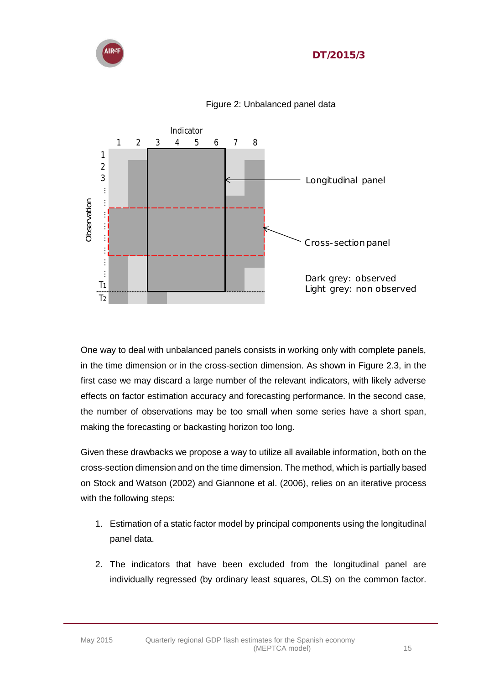



Figure 2: Unbalanced panel data

One way to deal with unbalanced panels consists in working only with complete panels, in the time dimension or in the cross-section dimension. As shown in Figure 2.3, in the first case we may discard a large number of the relevant indicators, with likely adverse effects on factor estimation accuracy and forecasting performance. In the second case, the number of observations may be too small when some series have a short span, making the forecasting or backasting horizon too long.

Given these drawbacks we propose a way to utilize all available information, both on the cross-section dimension and on the time dimension. The method, which is partially based on Stock and Watson (2002) and Giannone et al. (2006), relies on an iterative process with the following steps:

- 1. Estimation of a static factor model by principal components using the longitudinal panel data.
- 2. The indicators that have been excluded from the longitudinal panel are individually regressed (by ordinary least squares, OLS) on the common factor.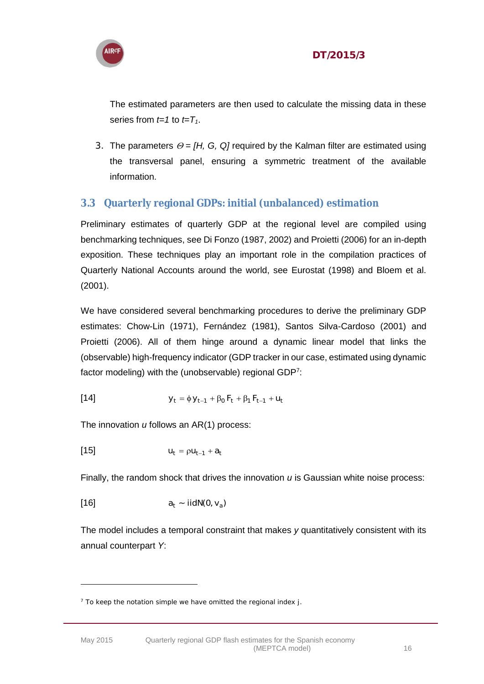

The estimated parameters are then used to calculate the missing data in these series from  $t=1$  to  $t=T_1$ .

3. The parameters  $\Theta = [H, G, Q]$  required by the Kalman filter are estimated using the transversal panel, ensuring a symmetric treatment of the available information.

## <span id="page-15-0"></span>**3.3 Quarterly regional GDPs: initial (unbalanced) estimation**

Preliminary estimates of quarterly GDP at the regional level are compiled using benchmarking techniques, see Di Fonzo (1987, 2002) and Proietti (2006) for an in-depth exposition. These techniques play an important role in the compilation practices of Quarterly National Accounts around the world, see Eurostat (1998) and Bloem et al. (2001).

We have considered several benchmarking procedures to derive the preliminary GDP estimates: Chow-Lin (1971), Fernández (1981), Santos Silva-Cardoso (2001) and Proietti (2006). All of them hinge around a dynamic linear model that links the (observable) high-frequency indicator (GDP tracker in our case, estimated using dynamic factor modeling) with the (unobservable) regional GDP<sup>7</sup>:

[14] 
$$
y_t = \phi y_{t-1} + \beta_0 F_t + \beta_1 F_{t-1} + U_t
$$

The innovation *u* follows an AR(1) process:

[15] 
$$
u_t = \rho u_{t-1} + a_t
$$

Finally, the random shock that drives the innovation *u* is Gaussian white noise process:

$$
a_t \sim \text{iidN}(0, v_a)
$$

The model includes a temporal constraint that makes *y* quantitatively consistent with its annual counterpart *Y*:

<sup>7</sup> To keep the notation simple we have omitted the regional index *j*.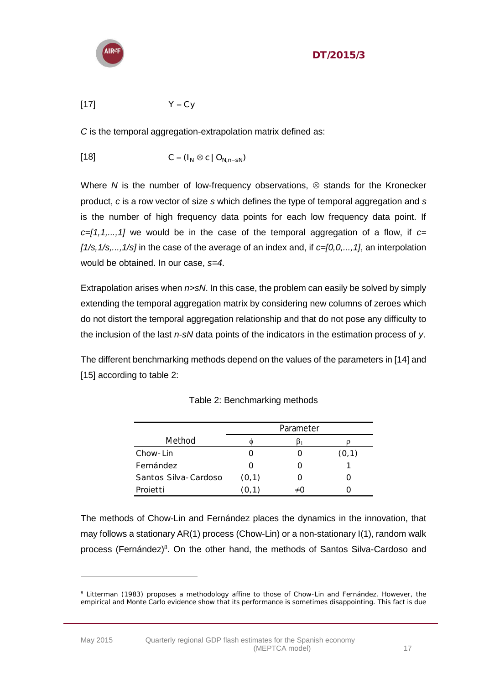

#### DT/2015/3

$$
Y = Cy
$$

*C* is the temporal aggregation-extrapolation matrix defined as:

$$
[18] \tC = (I_N \otimes c \mid O_{N, n - SN})
$$

Where  $N$  is the number of low-frequency observations,  $\otimes$  stands for the Kronecker product, *c* is a row vector of size *s* which defines the type of temporal aggregation and *s* is the number of high frequency data points for each low frequency data point. If *c=[1,1,...,1]* we would be in the case of the temporal aggregation of a flow, if *c= [1/s,1/s,...,1/s]* in the case of the average of an index and, if *c=[0,0,...,1]*, an interpolation would be obtained. In our case, *s=4*.

Extrapolation arises when *n>sN*. In this case, the problem can easily be solved by simply extending the temporal aggregation matrix by considering new columns of zeroes which do not distort the temporal aggregation relationship and that do not pose any difficulty to the inclusion of the last *n-sN* data points of the indicators in the estimation process of *y*.

The different benchmarking methods depend on the values of the parameters in [14] and [15] according to table 2:

|                      |        | Parameter |        |
|----------------------|--------|-----------|--------|
| Method               |        |           |        |
| Chow-Lin             |        |           | (0, 1) |
| <b>Fernández</b>     |        |           |        |
| Santos Silva-Cardoso | (0, 1) |           |        |
| Projetti             |        |           |        |

The methods of Chow-Lin and Fernández places the dynamics in the innovation, that may follows a stationary AR(1) process (Chow-Lin) or a non-stationary I(1), random walk process (Fernández)<sup>8</sup>. On the other hand, the methods of Santos Silva-Cardoso and

<sup>&</sup>lt;sup>8</sup> Litterman (1983) proposes a methodology affine to those of Chow-Lin and Fernández. However, the empirical and Monte Carlo evidence show that its performance is sometimes disappointing. This fact is due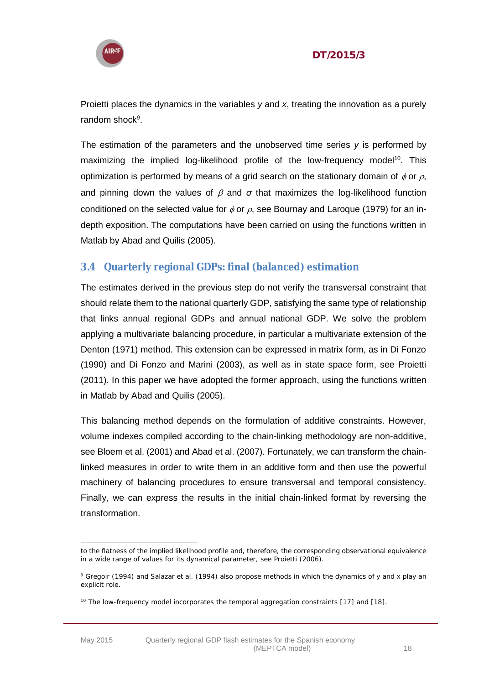

Proietti places the dynamics in the variables *y* and *x*, treating the innovation as a purely random shock<sup>9</sup>.

The estimation of the parameters and the unobserved time series *y* is performed by maximizing the implied log-likelihood profile of the low-frequency model<sup>10</sup>. This optimization is performed by means of a grid search on the stationary domain of  $\phi$  or  $\rho$ , and pinning down the values of  $\beta$  and  $\sigma$  that maximizes the log-likelihood function conditioned on the selected value for  $\phi$  or  $\rho$ , see Bournay and Laroque (1979) for an indepth exposition. The computations have been carried on using the functions written in Matlab by Abad and Quilis (2005).

## <span id="page-17-0"></span>**3.4 Quarterly regional GDPs: final (balanced) estimation**

The estimates derived in the previous step do not verify the transversal constraint that should relate them to the national quarterly GDP, satisfying the same type of relationship that links annual regional GDPs and annual national GDP. We solve the problem applying a multivariate balancing procedure, in particular a multivariate extension of the Denton (1971) method. This extension can be expressed in matrix form, as in Di Fonzo (1990) and Di Fonzo and Marini (2003), as well as in state space form, see Proietti (2011). In this paper we have adopted the former approach, using the functions written in Matlab by Abad and Quilis (2005).

This balancing method depends on the formulation of additive constraints. However, volume indexes compiled according to the chain-linking methodology are non-additive, see Bloem et al. (2001) and Abad et al. (2007). Fortunately, we can transform the chainlinked measures in order to write them in an additive form and then use the powerful machinery of balancing procedures to ensure transversal and temporal consistency. Finally, we can express the results in the initial chain-linked format by reversing the transformation.

 $\overline{a}$ 

to the flatness of the implied likelihood profile and, therefore, the corresponding observational equivalence in a wide range of values for its dynamical parameter, see Proietti (2006).

<sup>9</sup> Gregoir (1994) and Salazar et al. (1994) also propose methods in which the dynamics of *y* and *x* play an explicit role.

<sup>&</sup>lt;sup>10</sup> The low-frequency model incorporates the temporal aggregation constraints [17] and [18].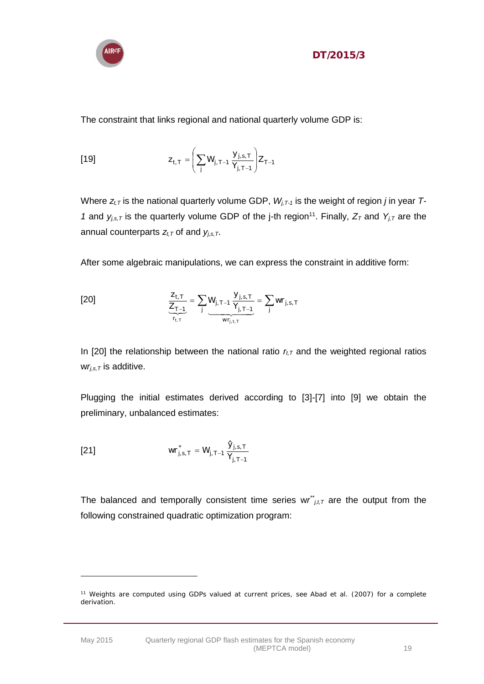

The constraint that links regional and national quarterly volume GDP is:

$$
z_{t,T} = \left(\sum_{j} W_{j,T-1} \frac{y_{j,s,T}}{Y_{j,T-1}}\right) Z_{T-1}
$$

Where  $z_{t,T}$  is the national quarterly volume GDP,  $W_{i,T-1}$  is the weight of region *j* in year *T*-*1* and  $y_{j,s,T}$  is the quarterly volume GDP of the j-th region<sup>11</sup>. Finally,  $Z_T$  and  $Y_{j,T}$  are the annual counterparts  $z_{t,T}$  of and  $y_{j,s,T}$ .

After some algebraic manipulations, we can express the constraint in additive form:

[20] 
$$
\frac{Z_{t,T}}{Z_{T-1}} = \sum_{j} \underbrace{W_{j,T-1}}_{W_{I,t,T}} \frac{Y_{j,s,T}}{Y_{j,T-1}} = \sum_{j} w_{j,s,T}
$$

In [20] the relationship between the national ratio  $r<sub>t</sub>$  and the weighted regional ratios  $wr_{i,s,T}$  is additive.

Plugging the initial estimates derived according to [3]-[7] into [9] we obtain the preliminary, unbalanced estimates:

[21] 
$$
w_{j,s,T}^* = W_{j,T-1} \frac{\hat{y}_{j,s,T}}{Y_{j,T-1}}
$$

The balanced and temporally consistent time series  $wr^*_{j,t,T}$  are the output from the following constrained quadratic optimization program:

<sup>&</sup>lt;sup>11</sup> Weights are computed using GDPs valued at current prices, see Abad et al. (2007) for a complete derivation.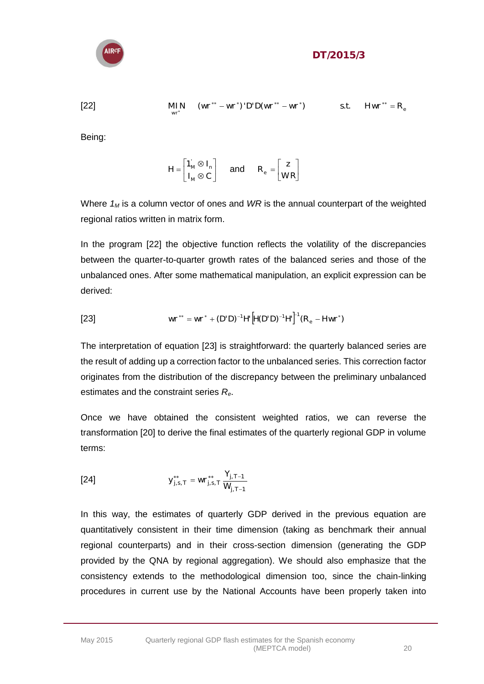

$$
\underset{\mathbb{W}^*}{\text{MIN}} \quad (\mathbb{W}^{**} - \mathbb{W}^*)' \text{D}' \text{D}' \mathbb{W}^{**} - \mathbb{W}^*) \qquad \qquad \text{s.t.} \quad \text{H} \mathbb{W}^{**} = \text{R}_{\text{e}}
$$

[22]

Being:

$$
H = \begin{bmatrix} 1_M' \otimes I_n \\ I_M \otimes C \end{bmatrix} \quad \text{and} \quad R_e = \begin{bmatrix} z \\ WR \end{bmatrix}
$$

Where *1<sup>M</sup>* is a column vector of ones and *WR* is the annual counterpart of the weighted regional ratios written in matrix form.

In the program [22] the objective function reflects the volatility of the discrepancies between the quarter-to-quarter growth rates of the balanced series and those of the unbalanced ones. After some mathematical manipulation, an explicit expression can be derived:

[23] 
$$
wr^{**} = wr^* + (D'D)^{-1}H[H(D'D)^{-1}H]^1(R_e - Hwr^*)
$$

The interpretation of equation [23] is straightforward: the quarterly balanced series are the result of adding up a correction factor to the unbalanced series. This correction factor originates from the distribution of the discrepancy between the preliminary unbalanced estimates and the constraint series *Re*.

Once we have obtained the consistent weighted ratios, we can reverse the transformation [20] to derive the final estimates of the quarterly regional GDP in volume terms:

[24] 
$$
y_{j,s,T}^{**} = w r_{j,s,T}^{**} \frac{Y_{j,T-1}}{W_{j,T-1}}
$$

In this way, the estimates of quarterly GDP derived in the previous equation are quantitatively consistent in their time dimension (taking as benchmark their annual regional counterparts) and in their cross-section dimension (generating the GDP provided by the QNA by regional aggregation). We should also emphasize that the consistency extends to the methodological dimension too, since the chain-linking procedures in current use by the National Accounts have been properly taken into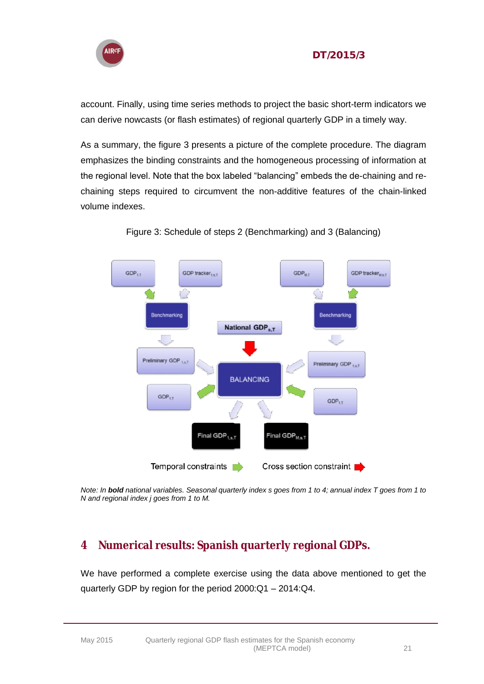

account. Finally, using time series methods to project the basic short-term indicators we can derive nowcasts (or flash estimates) of regional quarterly GDP in a timely way.

As a summary, the figure 3 presents a picture of the complete procedure. The diagram emphasizes the binding constraints and the homogeneous processing of information at the regional level. Note that the box labeled "balancing" embeds the de-chaining and rechaining steps required to circumvent the non-additive features of the chain-linked volume indexes.



Figure 3: Schedule of steps 2 (Benchmarking) and 3 (Balancing)

*Note: In bold national variables. Seasonal quarterly index s goes from 1 to 4; annual index T goes from 1 to N and regional index j goes from 1 to M.* 

## <span id="page-20-0"></span>**4 Numerical results: Spanish quarterly regional GDPs.**

We have performed a complete exercise using the data above mentioned to get the quarterly GDP by region for the period 2000:Q1 – 2014:Q4.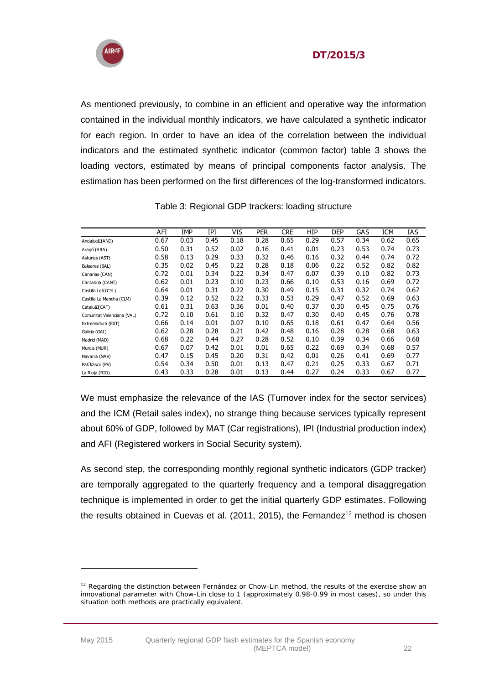



As mentioned previously, to combine in an efficient and operative way the information contained in the individual monthly indicators, we have calculated a synthetic indicator for each region. In order to have an idea of the correlation between the individual indicators and the estimated synthetic indicator (common factor) table 3 shows the loading vectors, estimated by means of principal components factor analysis. The estimation has been performed on the first differences of the log-transformed indicators.

|                            | AFI  | <b>IMP</b> | IPI  | VIS  | <b>PER</b> | <b>CRE</b> | HIP  | <b>DEP</b> | GAS  | <b>ICM</b> | IAS  |
|----------------------------|------|------------|------|------|------------|------------|------|------------|------|------------|------|
| Andalucá (AND)             | 0.67 | 0.03       | 0.45 | 0.18 | 0.28       | 0.65       | 0.29 | 0.57       | 0.34 | 0.62       | 0.65 |
| Aragó (ARA)                | 0.50 | 0.31       | 0.52 | 0.02 | 0.16       | 0.41       | 0.01 | 0.23       | 0.53 | 0.74       | 0.73 |
| Asturias (AST)             | 0.58 | 0.13       | 0.29 | 0.33 | 0.32       | 0.46       | 0.16 | 0.32       | 0.44 | 0.74       | 0.72 |
| Baleares (BAL)             | 0.35 | 0.02       | 0.45 | 0.22 | 0.28       | 0.18       | 0.06 | 0.22       | 0.52 | 0.82       | 0.82 |
| Canarias (CAN)             | 0.72 | 0.01       | 0.34 | 0.22 | 0.34       | 0.47       | 0.07 | 0.39       | 0.10 | 0.82       | 0.73 |
| Cantabria (CANT)           | 0.62 | 0.01       | 0.23 | 0.10 | 0.23       | 0.66       | 0.10 | 0.53       | 0.16 | 0.69       | 0.72 |
| Castilla Leó (CYL)         | 0.64 | 0.01       | 0.31 | 0.22 | 0.30       | 0.49       | 0.15 | 0.31       | 0.32 | 0.74       | 0.67 |
| Castilla La Mancha (CLM)   | 0.39 | 0.12       | 0.52 | 0.22 | 0.33       | 0.53       | 0.29 | 0.47       | 0.52 | 0.69       | 0.63 |
| Cataluã (CAT)              | 0.61 | 0.31       | 0.63 | 0.36 | 0.01       | 0.40       | 0.37 | 0.30       | 0.45 | 0.75       | 0.76 |
| Comunitat Valenciana (VAL) | 0.72 | 0.10       | 0.61 | 0.10 | 0.32       | 0.47       | 0.30 | 0.40       | 0.45 | 0.76       | 0.78 |
| Extremadura (EXT)          | 0.66 | 0.14       | 0.01 | 0.07 | 0.10       | 0.65       | 0.18 | 0.61       | 0.47 | 0.64       | 0.56 |
| Galicia (GAL)              | 0.62 | 0.28       | 0.28 | 0.21 | 0.42       | 0.48       | 0.16 | 0.28       | 0.28 | 0.68       | 0.63 |
| Madrid (MAD)               | 0.68 | 0.22       | 0.44 | 0.27 | 0.28       | 0.52       | 0.10 | 0.39       | 0.34 | 0.66       | 0.60 |
| Murcia (MUR)               | 0.67 | 0.07       | 0.42 | 0.01 | 0.01       | 0.65       | 0.22 | 0.69       | 0.34 | 0.68       | 0.57 |
| Navarra (NAV)              | 0.47 | 0.15       | 0.45 | 0.20 | 0.31       | 0.42       | 0.01 | 0.26       | 0.41 | 0.69       | 0.77 |
| Paś Vasco (PV)             | 0.54 | 0.34       | 0.50 | 0.01 | 0.13       | 0.47       | 0.21 | 0.25       | 0.33 | 0.67       | 0.71 |
| La Rioja (RIO)             | 0.43 | 0.33       | 0.28 | 0.01 | 0.13       | 0.44       | 0.27 | 0.24       | 0.33 | 0.67       | 0.77 |

Table 3: Regional GDP trackers: loading structure

We must emphasize the relevance of the IAS (Turnover index for the sector services) and the ICM (Retail sales index), no strange thing because services typically represent about 60% of GDP, followed by MAT (Car registrations), IPI (Industrial production index) and AFI (Registered workers in Social Security system).

As second step, the corresponding monthly regional synthetic indicators (GDP tracker) are temporally aggregated to the quarterly frequency and a temporal disaggregation technique is implemented in order to get the initial quarterly GDP estimates. Following the results obtained in Cuevas et al.  $(2011, 2015)$ , the Fernandez<sup>12</sup> method is chosen

<sup>&</sup>lt;sup>12</sup> Regarding the distinction between Fernández or Chow-Lin method, the results of the exercise show an innovational parameter with Chow-Lin close to 1 (approximately 0.98-0.99 in most cases), so under this situation both methods are practically equivalent.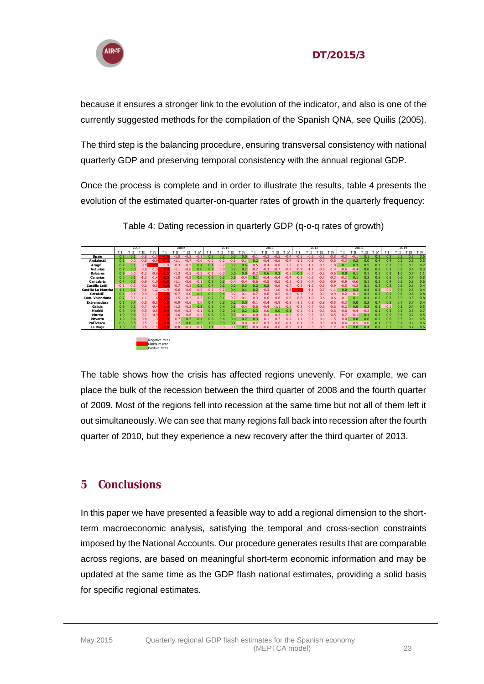

because it ensures a stronger link to the evolution of the indicator, and also is one of the currently suggested methods for the compilation of the Spanish QNA, see Quilis (2005).

The third step is the balancing procedure, ensuring transversal consistency with national quarterly GDP and preserving temporal consistency with the annual regional GDP.

Once the process is complete and in order to illustrate the results, table 4 presents the evolution of the estimated quarter-on-quarter rates of growth in the quarterly frequency:

|                    |        | 2008   |        |                |        | 2009         |        |        |        | 2010   |        |        |        | 2011   |        |        |        | 2012   |        |        |        | 2013   |        |     |        | 2014 |     |      |
|--------------------|--------|--------|--------|----------------|--------|--------------|--------|--------|--------|--------|--------|--------|--------|--------|--------|--------|--------|--------|--------|--------|--------|--------|--------|-----|--------|------|-----|------|
|                    |        | П      | 'π     | 'N             | ΤI     | $^{\rm{II}}$ | 'Ш     | r tv   |        | . II   | Ш      | ΤN     |        | тπ     | Ш      | ' IV   | тı     | . II   | Ш      | T IV   | T1     | П      | Ш      | 'N  | T1     | π    | ΉΙ  | T IV |
| Spain              | 0.5    | 0.1    | $-0.8$ | $-1.0$         | u.     | $-1.0$       | $-0.3$ | $-0.1$ | 0.3    | 0.2    | 0.0    | 0.0    | $-0.1$ | $-0.3$ | $-0.5$ | $-0.4$ | $-0.6$ | $-0.6$ | $-0.5$ | $-0.8$ | $-0.3$ | $-0.1$ | 0.1    | 0.3 | 0.3    | 0.5  | 0.5 | 0.6  |
| Andaluca           | 0.1    | 0.0    | $-0.8$ | $-0.9$         | $-1$   | $-1.1$       | $-0.7$ | $-0.6$ | $-0.2$ | $-0.2$ | $-0.1$ | $-0.1$ | 0.2    | $-0.4$ | $-0.6$ | $-0.4$ | $-1.1$ | $-0.8$ | $-0.7$ | $-0.6$ | $-0.3$ | 0.2    | 0.0    | 0.4 | 0.4    | 0.2  | 0.5 | 0.6  |
| Aragó              | 0.7    | 0.1    | $-0.5$ | $-2.3$         | $-1.4$ | $-0.3$       | $-0.2$ | 0.4    | 0.4    | $-0.2$ | 0.2    | 0.6    | $-0.5$ | $-0.4$ | $-0.8$ | $-1.7$ | $-0.9$ | $-1.4$ | $-0.5$ | $-1.0$ | 0.1    | 0.3    | 0.5    | 0.3 | 0.2    | 0.8  | 0.3 | 0.7  |
| Asturias           | 0.7    | 0.0    | $-0.8$ | $-1.3$         | $-2.4$ | $-1.1$       | $-0.6$ | 0.0    | 0.7    | 0.0    | 0.2    | 0.2    | $-0.2$ | $-0.3$ | $-0.7$ | $-0.9$ | $-0.9$ | -1.1   | $-0.8$ | $-1.4$ | $-0.6$ | $-0.4$ | 0.0    | 0.0 | 0.2    | 0.6  | 0.4 | 0.3  |
| <b>Baleares</b>    | 0.9    | 0.0    | $-1.2$ | $-0.9$         | $-1.5$ | $-1.3$       | $-0.5$ | $-0.2$ | $-0.1$ | $-0.3$ | 0.0    | 0.0    | $-0.2$ | 0.6    | 0.3    | $-0.3$ | 0.2    | $-0.7$ | $-0.2$ | $-0.6$ | 0.0    | 0.1    | 0.1    | 0.2 | 0.3    | 1.0  | 0.7 | 1.1  |
| Canarias           | 0.0    | 0.1    | $-1.3$ | $-1.4$         | $-2.0$ | $-1.0$       | $-0.2$ | 0.0    | 0.6    | 0.3    | 0.6    | $-0.4$ | 0.1    | $-0.4$ | $-0.4$ |        | $-0.3$ | $-0.3$ | $-0.7$ | $-0.3$ | $-0.2$ | 0.1    | 0.3    | 0.6 | 0.6    | 0.6  | 0.7 | 0.8  |
| Cantabria          | 0.4    | 0.3    | $-0.9$ | $-1.0$         | $-1.5$ | $-1.1$       | $-0.6$ | $-0.1$ | 0.5    | 0.3    | $-0.4$ | -0.4   | $-0.6$ | $-0.5$ | $-0.5$ |        | $-0.3$ | $-0.4$ | $-0.6$ | $-0.9$ | $-0.9$ | $-0.6$ | 0.1    | 0.2 | 0.4    | 0.3  | 0.3 | 0.6  |
| Castilla Leó       | $-0.1$ | $-0.3$ | $-0.2$ | $-0.5$         | $-1.4$ | $-0.7$       | $-0.3$ | 0.3    | 0.4    | 0.2    | 0.2    | 0.3    | 0.2    | 0.2    | $-0.6$ | $-0.7$ | $-0.9$ | $-1.2$ | $-0.6$ | $-0.9$ | $-0.5$ | $-0.2$ | 0.1    | 0.3 | 0.3    | 0.6  | 0.6 | 0.4  |
| Castilla La Mancha | 1.1    | 0.1    | $-0.6$ | $-1.2$         | $-1.4$ | $-0.6$       | $-0.6$ | $-0.5$ | $-0.2$ | $-0.2$ | 0.4    | 0.1    | 0.2    | $-0.3$ | $-1.0$ | $-0.8$ |        |        | $-0.7$ | $-1.1$ | 0.0    | 0.3    | 0.4    | 0.5 | 0.0    | 0.3  | 0.5 | 0.4  |
| Cataluã            | 0.4    | $-0.4$ | $-0.9$ | $-1.1$         | $-1.8$ | $-0.7$       | 0.0    | 0.2    | 0.5    | 0.4    | $-0.2$ | -0.1   | $-0.7$ | $-0.6$ | $-0.5$ |        |        | $-0.6$ | $-0.4$ | $-0.9$ | $-0.2$ | $-0.1$ | 0.3    | 0.2 | 0.2    | 0.6  | 0.6 | 0.8  |
| Com. Valenciana    | 0.7    | $-0.1$ | $-1.1$ | $-1.6$         | 47     | $-1.5$       | $-0.2$ | $-0.5$ | 0.2    | 0.1    | $-0.2$ |        | $-0.3$ | $-0.6$ | $-0.6$ | $-0.6$ | $-0.8$ | $-1.0$ | $-0.6$ | $-0.6$ | $-0.1$ | 0.1    | 0.4    | 0.6 | 0.2    | 0.9  | 0.5 | 0.8  |
| <b>Extremadura</b> | 0.5    | 0.4    | $-0.5$ | $-0.5$         | $-1.5$ | $-0.9$       | $-0.6$ | 0.0    | 0.4    | 0.3    | 0.2    | 0.0    | $-0.1$ | $-0.4$ | $-0.9$ | $-0.9$ | $-1.1$ | $-0.8$ | $-0.9$ | $-0.5$ | $-0.3$ | 0.0    | 0.2    | 0.7 | 0.5    | 0.7  | 0.7 | 0.4  |
| Galicia            | 0.9    | 0.1    | $-0.7$ | $-0.4$         | $-1.6$ | $-1.2$       | $-0.3$ | 0.3    | 0.6    | 0.4    |        | $-0.4$ | $-0.6$ | $-0.4$ | -1.1   | $-0.5$ | $-0.3$ |        | $-0.6$ | $-0.6$ | $-0.2$ | 0.0    | 0.2    | 0.1 | $-0.1$ | 0.1  | 0.4 | 0.5  |
| Madrid             | 0.3    | 0.4    | $-0.5$ | $-0.5$         | $-0.9$ | $-0.9$       | $-0.3$ | $-0.1$ | 0.1    | 0.2    | 0.1    | 0.7    | 0.3    | 0.0    | 0.0    |        | $-0.1$ |        | $-0.3$ | $-0.6$ | $-0.6$ | $-0.4$ | $-0.3$ | 0.1 | 0.3    | 0.5  | 0.5 | 0.7  |
| Murcia             | 1.0    | 0.4    | $-0.7$ | $-0.9$         | $-1.9$ | $-1.6$       | $-0.8$ | $-0.4$ | 0.6    | 0.3    |        | -0.1   | 0.0    | $-0.3$ | $-0.3$ | -0.6   |        | $-0.3$ | $-0.3$ | $-0.5$ | $-0.7$ | $-0.1$ | 0.1    | 0.6 | 0.9    | 0.6  | 0.2 | 0.5  |
| <b>Navarra</b>     | 1.0    | 0.6    | $-0.8$ | $-1.3$         | $-1.9$ | $-0.7$       | 0.2    | 0.4    | 0.6    | 0.4    | 0.4    | 0.7    | 0.3    | $-0.1$ | $-0.7$ |        |        | $-0.7$ |        | $-1.5$ | 0.0    | 0.0    | 0.6    | 0.5 | 0.6    | 0.5  | 0.4 | 0.5  |
| Paś Vasco          | 0.6    | 0.5    | $-0.5$ | $-1.4$         | $-2.1$ | $-1.2$       | 0.0    | 0.5    | 1.0    | 0.9    | 0.1    | 0.0    | $-0.2$ | $-0.3$ | $-0.6$ | $-0.1$ | $-0.4$ | $-0.6$ | $-0.3$ | $-0.8$ | $-0.6$ | $-0.5$ | 0.0    | 0.1 | 0.5    | 0.4  | 0.4 | 0.6  |
| La Rioja           | 1.0    | 0.1    | $-0.8$ | $-1.5$         |        | $-0.8$       | $-0.1$ | $-0.1$ |        | $-0.3$ | $-0.1$ | 0.1    | $-0.4$ | $-0.6$ | $-0.6$ | $-0.3$ | $-1.4$ | $-0.3$ | $-0.3$ | $-1.7$ | $-0.3$ | 0.0    | 0.4    | 0.8 | 0.7    | 0.8  | 0.7 | 0.6  |
|                    |        |        |        |                |        |              |        |        |        |        |        |        |        |        |        |        |        |        |        |        |        |        |        |     |        |      |     |      |
|                    |        |        |        |                |        |              |        |        |        |        |        |        |        |        |        |        |        |        |        |        |        |        |        |     |        |      |     |      |
|                    |        |        |        | Negative rates |        |              |        |        |        |        |        |        |        |        |        |        |        |        |        |        |        |        |        |     |        |      |     |      |
|                    |        |        |        | Minimum rate   |        |              |        |        |        |        |        |        |        |        |        |        |        |        |        |        |        |        |        |     |        |      |     |      |
|                    |        |        |        | Positive rates |        |              |        |        |        |        |        |        |        |        |        |        |        |        |        |        |        |        |        |     |        |      |     |      |

Table 4: Dating recession in quarterly GDP (q-o-q rates of growth)

The table shows how the crisis has affected regions unevenly. For example, we can place the bulk of the recession between the third quarter of 2008 and the fourth quarter of 2009. Most of the regions fell into recession at the same time but not all of them left it out simultaneously. We can see that many regions fall back into recession after the fourth quarter of 2010, but they experience a new recovery after the third quarter of 2013.

## <span id="page-22-0"></span>**5 Conclusions**

In this paper we have presented a feasible way to add a regional dimension to the shortterm macroeconomic analysis, satisfying the temporal and cross-section constraints imposed by the National Accounts. Our procedure generates results that are comparable across regions, are based on meaningful short-term economic information and may be updated at the same time as the GDP flash national estimates, providing a solid basis for specific regional estimates.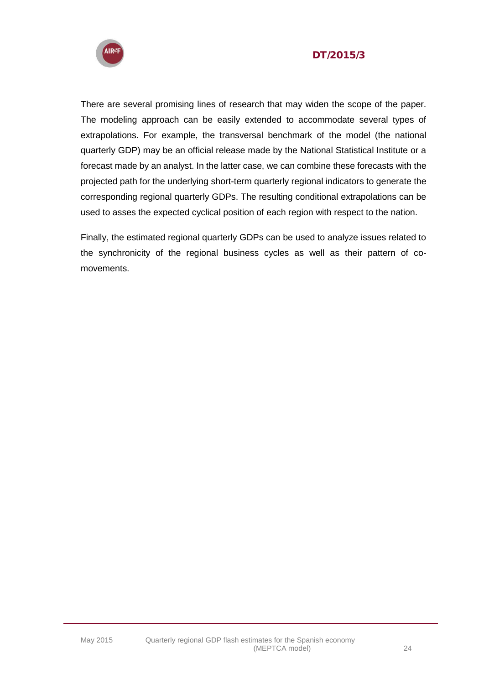

There are several promising lines of research that may widen the scope of the paper. The modeling approach can be easily extended to accommodate several types of extrapolations. For example, the transversal benchmark of the model (the national quarterly GDP) may be an official release made by the National Statistical Institute or a forecast made by an analyst. In the latter case, we can combine these forecasts with the projected path for the underlying short-term quarterly regional indicators to generate the corresponding regional quarterly GDPs. The resulting conditional extrapolations can be used to asses the expected cyclical position of each region with respect to the nation.

Finally, the estimated regional quarterly GDPs can be used to analyze issues related to the synchronicity of the regional business cycles as well as their pattern of comovements.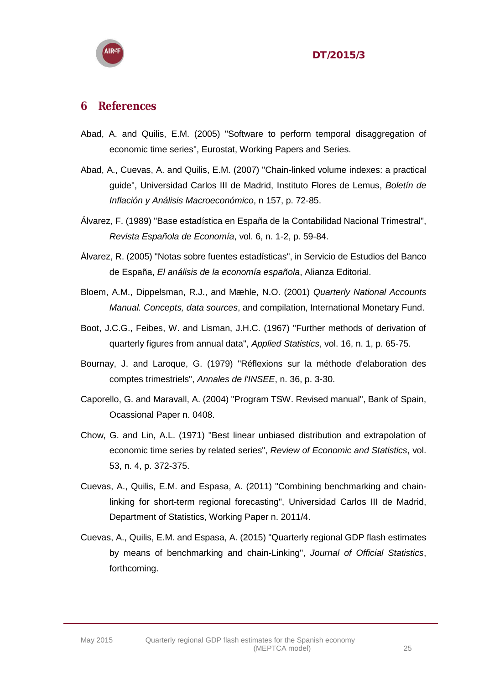

#### <span id="page-24-0"></span>**6 References**

- Abad, A. and Quilis, E.M. (2005) "Software to perform temporal disaggregation of economic time series", Eurostat, Working Papers and Series.
- Abad, A., Cuevas, A. and Quilis, E.M. (2007) "Chain-linked volume indexes: a practical guide", Universidad Carlos III de Madrid, Instituto Flores de Lemus, *Boletín de Inflación y Análisis Macroeconómico*, n 157, p. 72-85.
- Álvarez, F. (1989) "Base estadística en España de la Contabilidad Nacional Trimestral", *Revista Española de Economía*, vol. 6, n. 1-2, p. 59-84.
- Álvarez, R. (2005) "Notas sobre fuentes estadísticas", in Servicio de Estudios del Banco de España, *El análisis de la economía española*, Alianza Editorial.
- Bloem, A.M., Dippelsman, R.J., and Mæhle, N.O. (2001) *Quarterly National Accounts Manual. Concepts, data sources*, and compilation, International Monetary Fund.
- Boot, J.C.G., Feibes, W. and Lisman, J.H.C. (1967) "Further methods of derivation of quarterly figures from annual data", *Applied Statistics*, vol. 16, n. 1, p. 65-75.
- Bournay, J. and Laroque, G. (1979) "Réflexions sur la méthode d'elaboration des comptes trimestriels", *Annales de l'INSEE*, n. 36, p. 3-30.
- Caporello, G. and Maravall, A. (2004) "Program TSW. Revised manual", Bank of Spain, Ocassional Paper n. 0408.
- Chow, G. and Lin, A.L. (1971) "Best linear unbiased distribution and extrapolation of economic time series by related series", *Review of Economic and Statistics*, vol. 53, n. 4, p. 372-375.
- Cuevas, A., Quilis, E.M. and Espasa, A. (2011) "Combining benchmarking and chainlinking for short-term regional forecasting", Universidad Carlos III de Madrid, Department of Statistics, Working Paper n. 2011/4.
- Cuevas, A., Quilis, E.M. and Espasa, A. (2015) "Quarterly regional GDP flash estimates by means of benchmarking and chain-Linking", *Journal of Official Statistics*, forthcoming.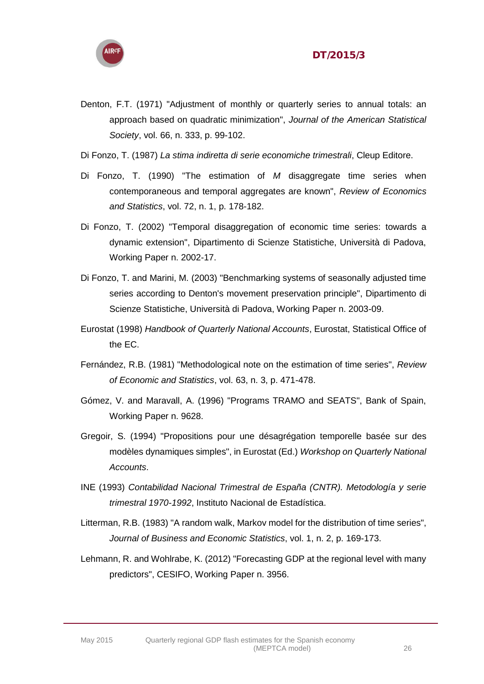

- Denton, F.T. (1971) "Adjustment of monthly or quarterly series to annual totals: an approach based on quadratic minimization", *Journal of the American Statistical Society*, vol. 66, n. 333, p. 99-102.
- Di Fonzo, T. (1987) *La stima indiretta di serie economiche trimestrali*, Cleup Editore.
- Di Fonzo, T. (1990) "The estimation of *M* disaggregate time series when contemporaneous and temporal aggregates are known", *Review of Economics and Statistics*, vol. 72, n. 1, p. 178-182.
- Di Fonzo, T. (2002) "Temporal disaggregation of economic time series: towards a dynamic extension", Dipartimento di Scienze Statistiche, Università di Padova, Working Paper n. 2002-17.
- Di Fonzo, T. and Marini, M. (2003) "Benchmarking systems of seasonally adjusted time series according to Denton's movement preservation principle", Dipartimento di Scienze Statistiche, Università di Padova, Working Paper n. 2003-09.
- Eurostat (1998) *Handbook of Quarterly National Accounts*, Eurostat, Statistical Office of the EC.
- Fernández, R.B. (1981) "Methodological note on the estimation of time series", *Review of Economic and Statistics*, vol. 63, n. 3, p. 471-478.
- Gómez, V. and Maravall, A. (1996) "Programs TRAMO and SEATS", Bank of Spain, Working Paper n. 9628.
- Gregoir, S. (1994) "Propositions pour une désagrégation temporelle basée sur des modèles dynamiques simples", in Eurostat (Ed.) *Workshop on Quarterly National Accounts*.
- INE (1993) *Contabilidad Nacional Trimestral de España (CNTR). Metodología y serie trimestral 1970-1992*, Instituto Nacional de Estadística.
- Litterman, R.B. (1983) "A random walk, Markov model for the distribution of time series", *Journal of Business and Economic Statistics*, vol. 1, n. 2, p. 169-173.
- Lehmann, R. and Wohlrabe, K. (2012) "Forecasting GDP at the regional level with many predictors", CESIFO, Working Paper n. 3956.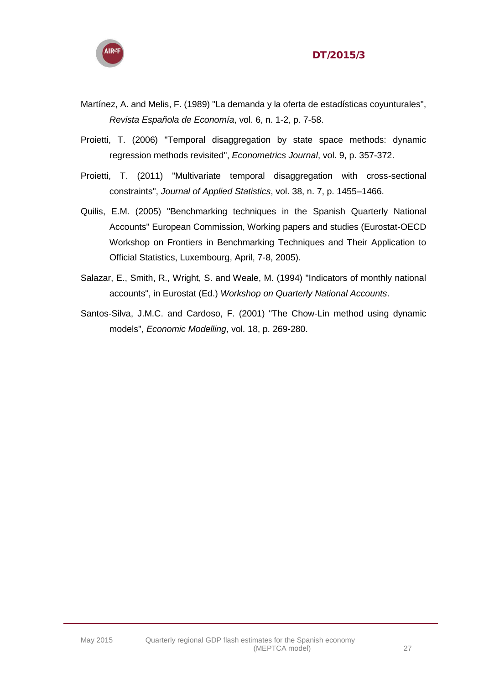



- Martínez, A. and Melis, F. (1989) "La demanda y la oferta de estadísticas coyunturales", *Revista Española de Economía*, vol. 6, n. 1-2, p. 7-58.
- Proietti, T. (2006) "Temporal disaggregation by state space methods: dynamic regression methods revisited", *Econometrics Journal*, vol. 9, p. 357-372.
- Proietti, T. (2011) "Multivariate temporal disaggregation with cross-sectional constraints", *Journal of Applied Statistics*, vol. 38, n. 7, p. 1455–1466.
- Quilis, E.M. (2005) "Benchmarking techniques in the Spanish Quarterly National Accounts" European Commission, Working papers and studies (Eurostat-OECD Workshop on Frontiers in Benchmarking Techniques and Their Application to Official Statistics, Luxembourg, April, 7-8, 2005).
- Salazar, E., Smith, R., Wright, S. and Weale, M. (1994) "Indicators of monthly national accounts", in Eurostat (Ed.) *Workshop on Quarterly National Accounts*.
- Santos-Silva, J.M.C. and Cardoso, F. (2001) "The Chow-Lin method using dynamic models", *Economic Modelling*, vol. 18, p. 269-280.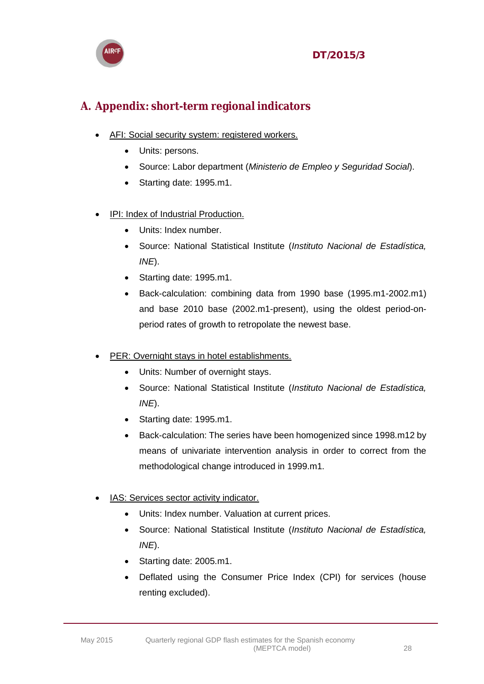



## <span id="page-27-0"></span>**A. Appendix: short-term regional indicators**

- AFI: Social security system: registered workers.
	- Units: persons.
	- Source: Labor department (*Ministerio de Empleo y Seguridad Social*).
	- Starting date: 1995.m1.
- IPI: Index of Industrial Production.
	- Units: Index number.
	- Source: National Statistical Institute (*Instituto Nacional de Estadística, INE*).
	- Starting date: 1995.m1.
	- Back-calculation: combining data from 1990 base (1995.m1-2002.m1) and base 2010 base (2002.m1-present), using the oldest period-onperiod rates of growth to retropolate the newest base.
- PER: Overnight stays in hotel establishments.
	- Units: Number of overnight stays.
	- Source: National Statistical Institute (*Instituto Nacional de Estadística, INE*).
	- Starting date: 1995.m1.
	- Back-calculation: The series have been homogenized since 1998.m12 by means of univariate intervention analysis in order to correct from the methodological change introduced in 1999.m1.
- IAS: Services sector activity indicator.
	- Units: Index number. Valuation at current prices.
	- Source: National Statistical Institute (*Instituto Nacional de Estadística, INE*).
	- Starting date: 2005.m1.
	- Deflated using the Consumer Price Index (CPI) for services (house renting excluded).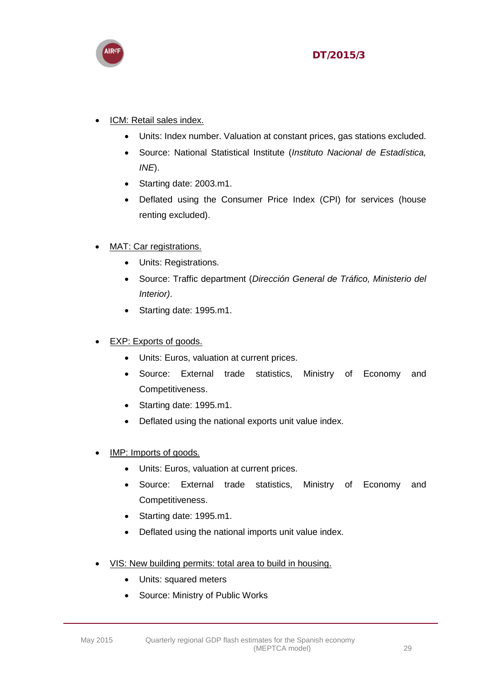

#### ICM: Retail sales index.

- Units: Index number. Valuation at constant prices, gas stations excluded.
- Source: National Statistical Institute (*Instituto Nacional de Estadística, INE*).
- Starting date: 2003.m1.
- Deflated using the Consumer Price Index (CPI) for services (house renting excluded).

#### MAT: Car registrations.

- Units: Registrations.
- Source: Traffic department (*Dirección General de Tráfico, Ministerio del Interior)*.
- Starting date: 1995.m1.

#### EXP: Exports of goods.

- Units: Euros, valuation at current prices.
- Source: External trade statistics, Ministry of Economy and Competitiveness.
- Starting date: 1995.m1.
- Deflated using the national exports unit value index.
- IMP: Imports of goods.
	- Units: Euros, valuation at current prices.
	- Source: External trade statistics, Ministry of Economy and Competitiveness.
	- Starting date: 1995.m1.
	- Deflated using the national imports unit value index.
- VIS: New building permits: total area to build in housing.
	- Units: squared meters
	- Source: Ministry of Public Works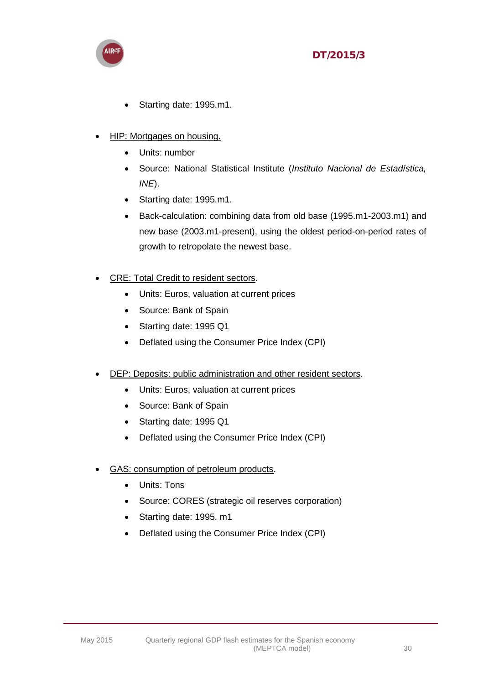

- Starting date: 1995.m1.
- HIP: Mortgages on housing.
	- Units: number
	- Source: National Statistical Institute (*Instituto Nacional de Estadística, INE*).
	- Starting date: 1995.m1.
	- Back-calculation: combining data from old base (1995.m1-2003.m1) and new base (2003.m1-present), using the oldest period-on-period rates of growth to retropolate the newest base.
- CRE: Total Credit to resident sectors.
	- Units: Euros, valuation at current prices
	- Source: Bank of Spain
	- Starting date: 1995 Q1
	- Deflated using the Consumer Price Index (CPI)
- DEP: Deposits: public administration and other resident sectors.
	- Units: Euros, valuation at current prices
	- Source: Bank of Spain
	- Starting date: 1995 Q1
	- Deflated using the Consumer Price Index (CPI)
- GAS: consumption of petroleum products.
	- Units: Tons
	- Source: CORES (strategic oil reserves corporation)
	- Starting date: 1995. m1
	- Deflated using the Consumer Price Index (CPI)